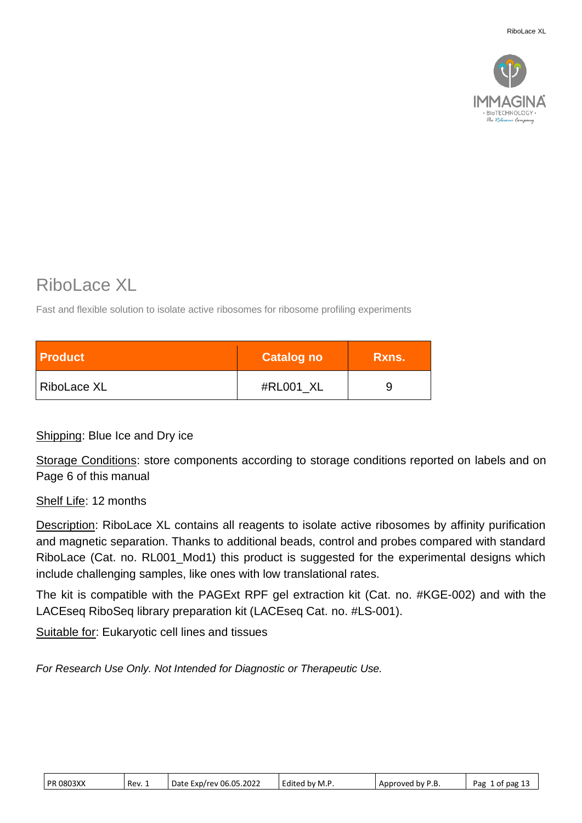

# Ribol ace XL

Fast and flexible solution to isolate active ribosomes for ribosome profiling experiments

| <b>Product</b> | <b>Catalog no</b> | Rxns. |
|----------------|-------------------|-------|
| RiboLace XL    | #RL001_XL         |       |

Shipping: Blue Ice and Dry ice

Storage Conditions: store components according to storage conditions reported on labels and on Page 6 of this manual

Shelf Life: 12 months

Description: RiboLace XL contains all reagents to isolate active ribosomes by affinity purification and magnetic separation. Thanks to additional beads, control and probes compared with standard RiboLace (Cat. no. RL001\_Mod1) this product is suggested for the experimental designs which include challenging samples, like ones with low translational rates.

The kit is compatible with the PAGExt RPF gel extraction kit (Cat. no. #KGE-002) and with the LACEseq RiboSeq library preparation kit (LACEseq Cat. no. #LS-001).

Suitable for: Eukaryotic cell lines and tissues

*For Research Use Only. Not Intended for Diagnostic or Therapeutic Use.*

| <b>PR 0803XX</b> | Rev. 1 | Date Exp/rev 06.05.2022 | Edited by M.P. | Approved by P.B. | 1 of pag 13<br>Pag |
|------------------|--------|-------------------------|----------------|------------------|--------------------|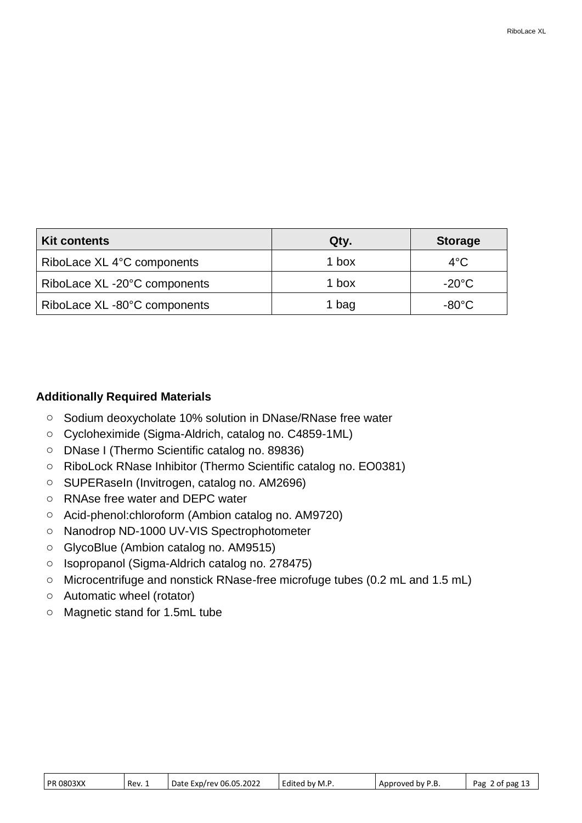| <b>Kit contents</b>          | Qty.  | <b>Storage</b>  |
|------------------------------|-------|-----------------|
| RiboLace XL 4°C components   | 1 box | $4^{\circ}$ C   |
| RiboLace XL -20°C components | 1 box | $-20^{\circ}$ C |
| RiboLace XL -80°C components | 1 bag | $-80^{\circ}$ C |

### **Additionally Required Materials**

- o Sodium deoxycholate 10% solution in DNase/RNase free water
- o Cycloheximide (Sigma-Aldrich, catalog no. C4859-1ML)
- o DNase I (Thermo Scientific catalog no. 89836)
- o RiboLock RNase Inhibitor (Thermo Scientific catalog no. EO0381)
- o SUPERaseIn (Invitrogen, catalog no. AM2696)
- o RNAse free water and DEPC water
- o Acid-phenol:chloroform (Ambion catalog no. AM9720)
- o Nanodrop ND-1000 UV-VIS Spectrophotometer
- o GlycoBlue (Ambion catalog no. AM9515)
- o Isopropanol (Sigma-Aldrich catalog no. 278475)
- o Microcentrifuge and nonstick RNase-free microfuge tubes (0.2 mL and 1.5 mL)
- o Automatic wheel (rotator)
- o Magnetic stand for 1.5mL tube

|  | <b>PR 0803XX</b> | Rev. 1 | Date Exp/rev 06.05.2022 | Edited by M.P | Approved by P.B. | Pag 2 of pag 13 |
|--|------------------|--------|-------------------------|---------------|------------------|-----------------|
|--|------------------|--------|-------------------------|---------------|------------------|-----------------|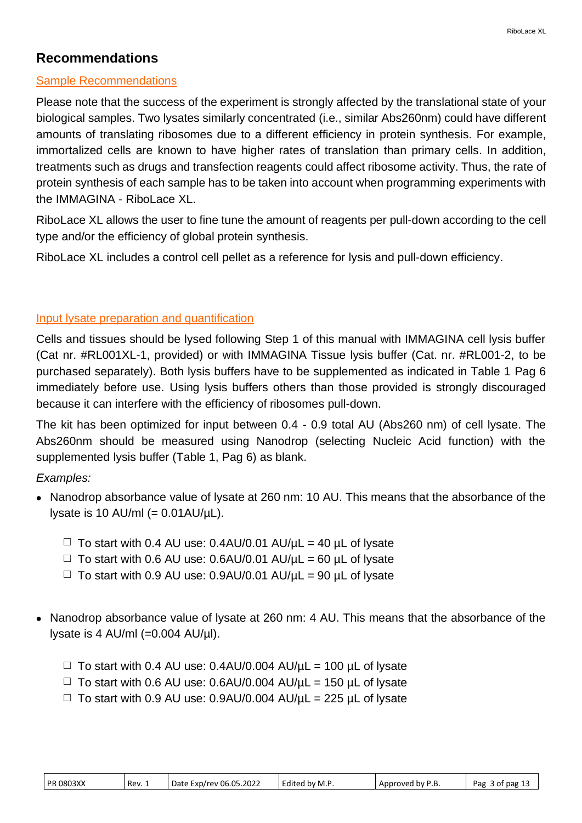## **Recommendations**

### Sample Recommendations

Please note that the success of the experiment is strongly affected by the translational state of your biological samples. Two lysates similarly concentrated (i.e., similar Abs260nm) could have different amounts of translating ribosomes due to a different efficiency in protein synthesis. For example, immortalized cells are known to have higher rates of translation than primary cells. In addition, treatments such as drugs and transfection reagents could affect ribosome activity. Thus, the rate of protein synthesis of each sample has to be taken into account when programming experiments with the IMMAGINA - RiboLace XL.

RiboLace XL allows the user to fine tune the amount of reagents per pull-down according to the cell type and/or the efficiency of global protein synthesis.

RiboLace XL includes a control cell pellet as a reference for lysis and pull-down efficiency.

### Input lysate preparation and quantification

Cells and tissues should be lysed following Step 1 of this manual with IMMAGINA cell lysis buffer (Cat nr. #RL001XL-1, provided) or with IMMAGINA Tissue lysis buffer (Cat. nr. #RL001-2, to be purchased separately). Both lysis buffers have to be supplemented as indicated in Table 1 Pag 6 immediately before use. Using lysis buffers others than those provided is strongly discouraged because it can interfere with the efficiency of ribosomes pull-down.

The kit has been optimized for input between 0.4 - 0.9 total AU (Abs260 nm) of cell lysate. The Abs260nm should be measured using Nanodrop (selecting Nucleic Acid function) with the supplemented lysis buffer (Table 1, Pag 6) as blank.

*Examples:*

- Nanodrop absorbance value of lysate at 260 nm: 10 AU. This means that the absorbance of the lysate is 10 AU/ml  $(= 0.01 \text{AU}/\mu\text{L})$ .
	- $\Box$  To start with 0.4 AU use: 0.4AU/0.01 AU/ $\mu$ L = 40  $\mu$ L of lysate
	- $\Box$  To start with 0.6 AU use: 0.6AU/0.01 AU/ $\mu$ L = 60  $\mu$ L of lysate
	- $\Box$  To start with 0.9 AU use: 0.9AU/0.01 AU/ $\mu$ L = 90  $\mu$ L of lysate
- Nanodrop absorbance value of lysate at 260 nm: 4 AU. This means that the absorbance of the lysate is 4 AU/ml (=0.004 AU/µl).
	- $\Box$  To start with 0.4 AU use: 0.4AU/0.004 AU/ $\mu$ L = 100  $\mu$ L of lysate
	- $\Box$  To start with 0.6 AU use: 0.6AU/0.004 AU/ $\mu$ L = 150  $\mu$ L of lysate
	- $\Box$  To start with 0.9 AU use: 0.9AU/0.004 AU/ $\mu$ L = 225  $\mu$ L of lysate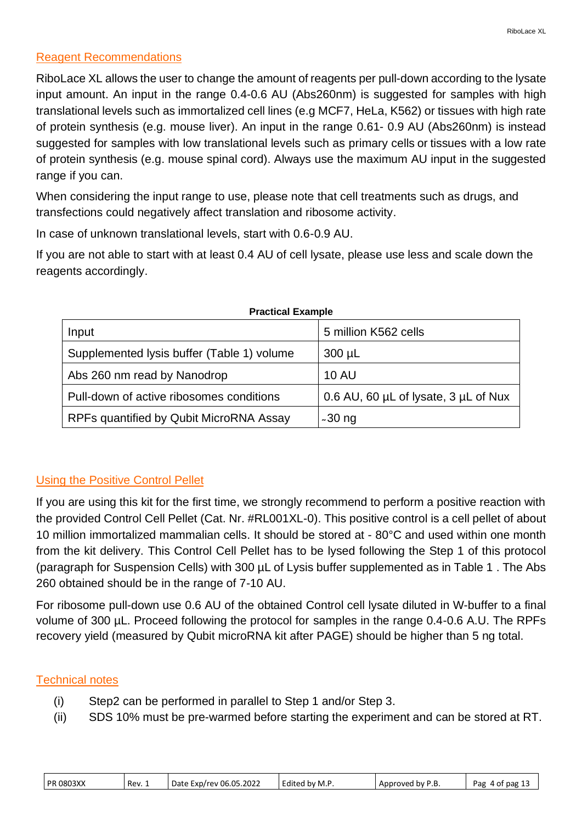### Reagent Recommendations

RiboLace XL allows the user to change the amount of reagents per pull-down according to the lysate input amount. An input in the range 0.4-0.6 AU (Abs260nm) is suggested for samples with high translational levels such as immortalized cell lines (e.g MCF7, HeLa, K562) or tissues with high rate of protein synthesis (e.g. mouse liver). An input in the range 0.61- 0.9 AU (Abs260nm) is instead suggested for samples with low translational levels such as primary cells or tissues with a low rate of protein synthesis (e.g. mouse spinal cord). Always use the maximum AU input in the suggested range if you can.

When considering the input range to use, please note that cell treatments such as drugs, and transfections could negatively affect translation and ribosome activity.

In case of unknown translational levels, start with 0.6-0.9 AU.

If you are not able to start with at least 0.4 AU of cell lysate, please use less and scale down the reagents accordingly.

| <b>FIQUUUGI LAQIIIDIG</b>                  |                                      |
|--------------------------------------------|--------------------------------------|
| Input                                      | 5 million K562 cells                 |
| Supplemented lysis buffer (Table 1) volume | $300 \mu L$                          |
| Abs 260 nm read by Nanodrop                | <b>10 AU</b>                         |
| Pull-down of active ribosomes conditions   | 0.6 AU, 60 µL of lysate, 3 µL of Nux |
| RPFs quantified by Qubit MicroRNA Assay    | $~1$ -30 ng                          |

#### **Practical Example**

### Using the Positive Control Pellet

If you are using this kit for the first time, we strongly recommend to perform a positive reaction with the provided Control Cell Pellet (Cat. Nr. #RL001XL-0). This positive control is a cell pellet of about 10 million immortalized mammalian cells. It should be stored at - 80°C and used within one month from the kit delivery. This Control Cell Pellet has to be lysed following the Step 1 of this protocol (paragraph for Suspension Cells) with 300 µL of Lysis buffer supplemented as in Table 1 . The Abs 260 obtained should be in the range of 7-10 AU.

For ribosome pull-down use 0.6 AU of the obtained Control cell lysate diluted in W-buffer to a final volume of 300 µL. Proceed following the protocol for samples in the range 0.4-0.6 A.U. The RPFs recovery yield (measured by Qubit microRNA kit after PAGE) should be higher than 5 ng total.

### Technical notes

- (i) Step2 can be performed in parallel to Step 1 and/or Step 3.
- (ii) SDS 10% must be pre-warmed before starting the experiment and can be stored at RT.

|  | <b>PR 0803XX</b> | Rev. 1 | Date Exp/rev 06.05.2022 | Edited by M.P. | Approved by P.<br>. ب | 4 of pag 1<br>Pag |
|--|------------------|--------|-------------------------|----------------|-----------------------|-------------------|
|--|------------------|--------|-------------------------|----------------|-----------------------|-------------------|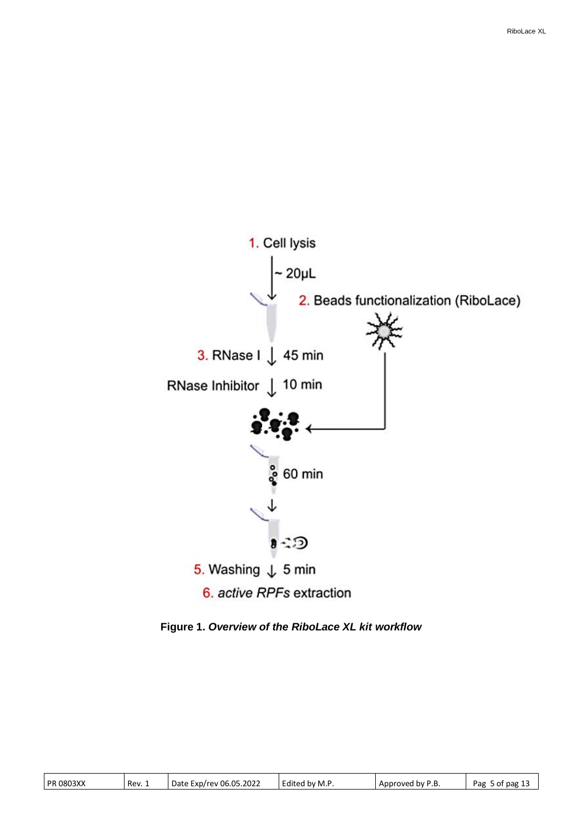

**Figure 1.** *Overview of the RiboLace XL kit workflow*

| <b>PR 0803XX</b> | Rev. 1 | Date Exp/rev 06.05.2022 | .<br>Edited by M.P | Approved by P.B | Pag<br>ot pag 13<br>$\overline{\phantom{a}}$ |
|------------------|--------|-------------------------|--------------------|-----------------|----------------------------------------------|
|------------------|--------|-------------------------|--------------------|-----------------|----------------------------------------------|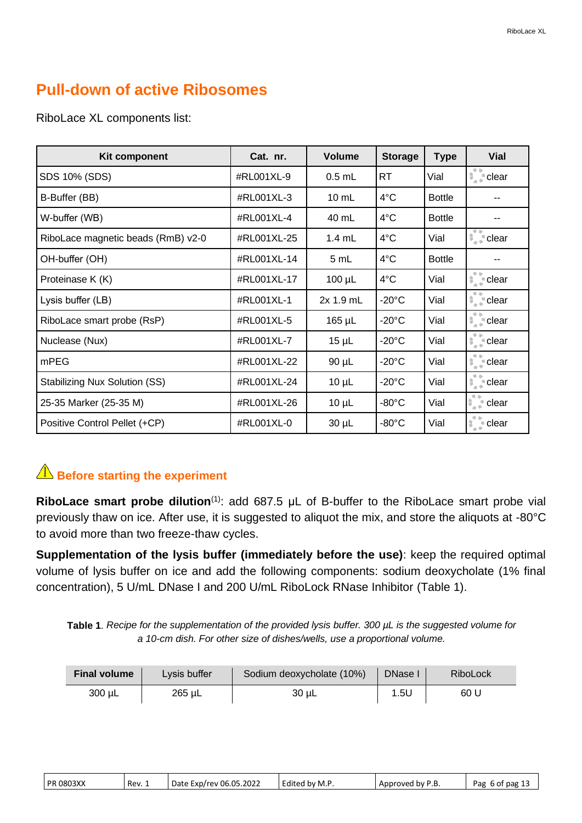## **Pull-down of active Ribosomes**

| <b>Kit component</b>               | Cat. nr.    | <b>Volume</b>    | <b>Storage</b>  | <b>Type</b>   | <b>Vial</b>                           |
|------------------------------------|-------------|------------------|-----------------|---------------|---------------------------------------|
| SDS 10% (SDS)                      | #RL001XL-9  | $0.5$ mL         | <b>RT</b>       | Vial          | ●▲<br>$\frac{1}{2}$ clear             |
| B-Buffer (BB)                      | #RL001XL-3  | $10$ mL          | 4°C             | <b>Bottle</b> |                                       |
| W-buffer (WB)                      | #RL001XL-4  | 40 mL            | 4°C             | <b>Bottle</b> |                                       |
| RiboLace magnetic beads (RmB) v2-0 | #RL001XL-25 | $1.4 \text{ mL}$ | 4°C             | Vial          | $\frac{1}{2}$ clear                   |
| OH-buffer (OH)                     | #RL001XL-14 | 5 mL             | 4°C             | <b>Bottle</b> |                                       |
| Proteinase K (K)                   | #RL001XL-17 | $100 \mu L$      | 4°C             | Vial          | 单金<br>$\frac{1}{2}$ clear             |
| Lysis buffer (LB)                  | #RL001XL-1  | 2x 1.9 mL        | $-20^{\circ}$ C | Vial          | 手上<br>$\frac{1}{2}$ clear             |
| RiboLace smart probe (RsP)         | #RL001XL-5  | 165 µL           | $-20^{\circ}$ C | Vial          | 单金<br>$\frac{1}{2}$ clear             |
| Nuclease (Nux)                     | #RL001XL-7  | $15 \mu L$       | $-20^{\circ}$ C | Vial          | 单金<br>$\frac{1}{2}$ clear             |
| mPEG                               | #RL001XL-22 | $90 \mu L$       | $-20^{\circ}$ C | Vial          | 手を<br>$\frac{1}{2}$ clear             |
| Stabilizing Nux Solution (SS)      | #RL001XL-24 | $10 \mu L$       | $-20^{\circ}$ C | Vial          | 学会<br>$\frac{1}{2}$ dear              |
| 25-35 Marker (25-35 M)             | #RL001XL-26 | $10 \mu L$       | $-80^{\circ}$ C | Vial          | $\blacksquare$<br>$\frac{4}{3}$ clear |
| Positive Control Pellet (+CP)      | #RL001XL-0  | $30 \mu L$       | $-80^{\circ}$ C | Vial          | $\frac{1}{2}$ clear                   |

RiboLace XL components list:

## **A** Before starting the experiment

**RiboLace smart probe dilution**(1): add 687.5 μL of B-buffer to the RiboLace smart probe vial previously thaw on ice. After use, it is suggested to aliquot the mix, and store the aliquots at -80°C to avoid more than two freeze-thaw cycles.

**Supplementation of the lysis buffer (immediately before the use)**: keep the required optimal volume of lysis buffer on ice and add the following components: sodium deoxycholate (1% final concentration), 5 U/mL DNase I and 200 U/mL RiboLock RNase Inhibitor (Table 1).

**Table 1**. *Recipe for the supplementation of the provided lysis buffer. 300 µL is the suggested volume for a 10-cm dish. For other size of dishes/wells, use a proportional volume.*

| <b>Final volume</b> | Lysis buffer | Sodium deoxycholate (10%) | DNase I | RiboLock |
|---------------------|--------------|---------------------------|---------|----------|
| 300 uL              | 265 uL       | 30 uL                     | 1.5U    | 60 L     |

| <b>PR 0803XX</b><br>Rev. 1 | Date Exp/rev 06.05.2022 | Edited by M.P. | Approved by P.B. | Pag<br>6 of pag 13 |
|----------------------------|-------------------------|----------------|------------------|--------------------|
|----------------------------|-------------------------|----------------|------------------|--------------------|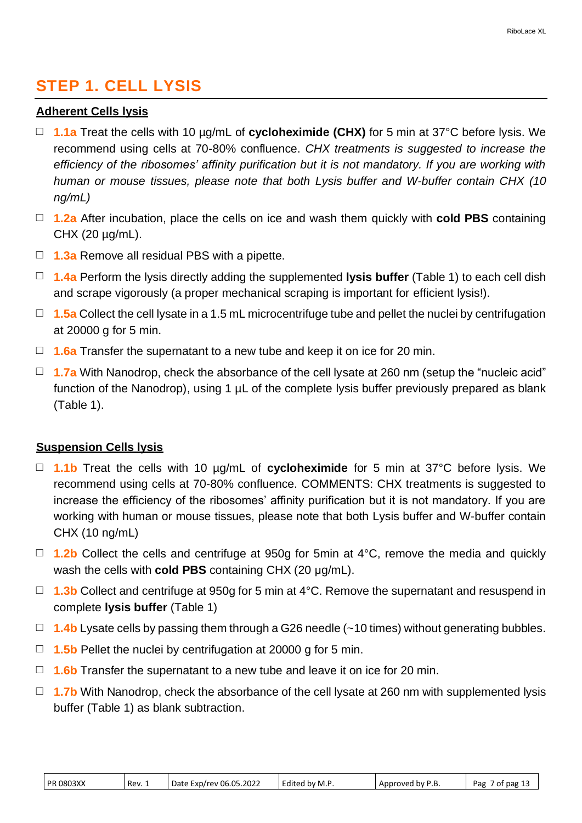## **STEP 1. CELL LYSIS**

### **Adherent Cells lysis**

- □ **1.1a** Treat the cells with 10 µg/mL of **cycloheximide (CHX)** for 5 min at 37°C before lysis. We recommend using cells at 70-80% confluence. *CHX treatments is suggested to increase the efficiency of the ribosomes' affinity purification but it is not mandatory. If you are working with human or mouse tissues, please note that both Lysis buffer and W-buffer contain CHX (10 ng/mL)*
- □ **1.2a** After incubation, place the cells on ice and wash them quickly with **cold PBS** containing CHX (20  $\mu$ g/mL).
- □ **1.3a** Remove all residual PBS with a pipette.
- □ **1.4a** Perform the lysis directly adding the supplemented **lysis buffer** (Table 1) to each cell dish and scrape vigorously (a proper mechanical scraping is important for efficient lysis!).
- □ **1.5a** Collect the cell lysate in a 1.5 mL microcentrifuge tube and pellet the nuclei by centrifugation at 20000 g for 5 min.
- □ **1.6a** Transfer the supernatant to a new tube and keep it on ice for 20 min.
- □ **1.7a** With Nanodrop, check the absorbance of the cell lysate at 260 nm (setup the "nucleic acid" function of the Nanodrop), using 1  $\mu$ L of the complete lysis buffer previously prepared as blank (Table 1).

#### **Suspension Cells lysis**

- □ **1.1b** Treat the cells with 10 µg/mL of **cycloheximide** for 5 min at 37°C before lysis. We recommend using cells at 70-80% confluence. COMMENTS: CHX treatments is suggested to increase the efficiency of the ribosomes' affinity purification but it is not mandatory. If you are working with human or mouse tissues, please note that both Lysis buffer and W-buffer contain CHX (10 ng/mL)
- □ **1.2b** Collect the cells and centrifuge at 950g for 5min at 4<sup>o</sup>C, remove the media and quickly wash the cells with **cold PBS** containing CHX (20 μg/mL).
- □ **1.3b** Collect and centrifuge at 950g for 5 min at 4°C. Remove the supernatant and resuspend in complete **lysis buffer** (Table 1)
- □ **1.4b** Lysate cells by passing them through a G26 needle (~10 times) without generating bubbles.
- □ **1.5b** Pellet the nuclei by centrifugation at 20000 g for 5 min.
- □ **1.6b** Transfer the supernatant to a new tube and leave it on ice for 20 min.
- □ **1.7b** With Nanodrop, check the absorbance of the cell lysate at 260 nm with supplemented lysis buffer (Table 1) as blank subtraction.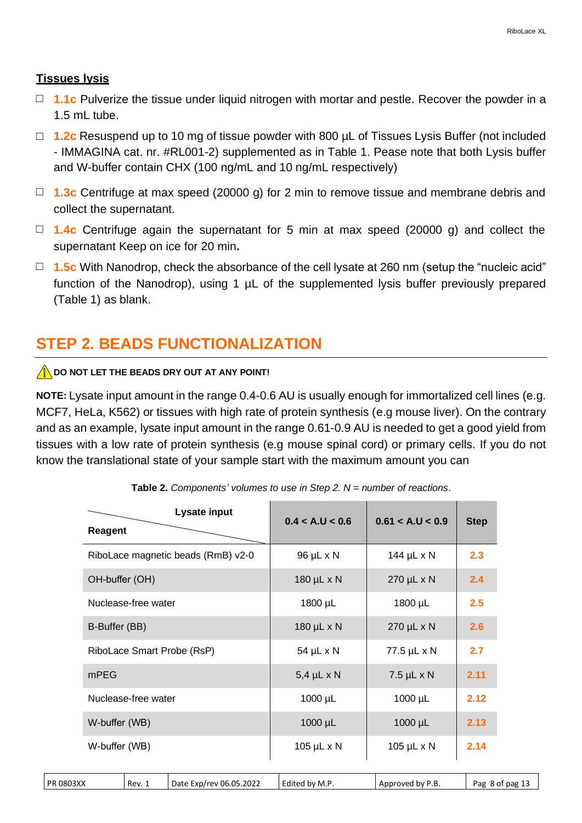#### **Tissues lysis**

- □ **1.1c** Pulverize the tissue under liquid nitrogen with mortar and pestle. Recover the powder in a  $1.5$  mL tube.
- □ **1.2c** Resuspend up to 10 mg of tissue powder with 800 µL of Tissues Lysis Buffer (not included - IMMAGINA cat. nr. #RL001-2) supplemented as in Table 1. Pease note that both Lysis buffer and W-buffer contain CHX (100 ng/mL and 10 ng/mL respectively)
- □ **1.3c** Centrifuge at max speed (20000 g) for 2 min to remove tissue and membrane debris and collect the supernatant.
- □ **1.4c** Centrifuge again the supernatant for 5 min at max speed (20000 g) and collect the supernatant Keep on ice for 20 min**.**
- □ **1.5c** With Nanodrop, check the absorbance of the cell lysate at 260 nm (setup the "nucleic acid" function of the Nanodrop), using 1  $\mu$ L of the supplemented lysis buffer previously prepared (Table 1) as blank.

## **STEP 2. BEADS FUNCTIONALIZATION**

#### **IN DO NOT LET THE BEADS DRY OUT AT ANY POINT!**

**NOTE:** Lysate input amount in the range 0.4-0.6 AU is usually enough for immortalized cell lines (e.g. MCF7, HeLa, K562) or tissues with high rate of protein synthesis (e.g mouse liver). On the contrary and as an example, lysate input amount in the range 0.61-0.9 AU is needed to get a good yield from tissues with a low rate of protein synthesis (e.g mouse spinal cord) or primary cells. If you do not know the translational state of your sample start with the maximum amount you can

| Lysate input<br><b>Reagent</b>     | 0.4 < A.U < 0.6 | 0.61 < A.U < 0.9 | <b>Step</b> |
|------------------------------------|-----------------|------------------|-------------|
| RiboLace magnetic beads (RmB) v2-0 | 96 µL x N       | 144 µL x N       | 2.3         |
| OH-buffer (OH)                     | 180 µL x N      | 270 µL x N       | 2.4         |
| Nuclease-free water                | 1800 µL         | 1800 µL          | 2.5         |
| B-Buffer (BB)                      | 180 µL x N      | 270 µL x N       | 2.6         |
| RiboLace Smart Probe (RsP)         | 54 µL x N       | 77.5 µL x N      | 2.7         |
| mPEG                               | $5,4$ µL x N    | $7.5$ µL x N     | 2.11        |
| Nuclease-free water                | 1000 µL         | $1000 \mu L$     | 2.12        |
| W-buffer (WB)                      | 1000 µL         | $1000 \mu L$     | 2.13        |
| W-buffer (WB)                      | 105 µL x N      | 105 µL x N       | 2.14        |

|  |  |  |  |  | Table 2. Components' volumes to use in Step 2. $N =$ number of reactions. |
|--|--|--|--|--|---------------------------------------------------------------------------|
|--|--|--|--|--|---------------------------------------------------------------------------|

| <b>PR 0803XX</b><br>Rev. 1 | Date Exp/rev 06.05.2022 | Edited by M.P. | Approved by P.B. | Pag 8 of pag 13 |
|----------------------------|-------------------------|----------------|------------------|-----------------|
|----------------------------|-------------------------|----------------|------------------|-----------------|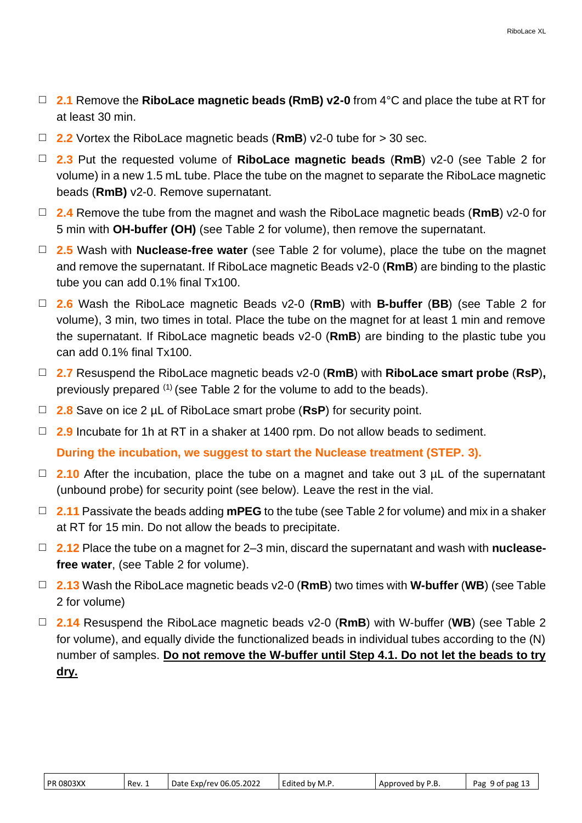- □ **2.1** Remove the **RiboLace magnetic beads (RmB) v2-0** from 4°C and place the tube at RT for at least 30 min.
- □ **2.2** Vortex the RiboLace magnetic beads (**RmB**) v2-0 tube for > 30 sec.
- □ **2.3** Put the requested volume of **RiboLace magnetic beads** (**RmB**) v2-0 (see Table 2 for volume) in a new 1.5 mL tube. Place the tube on the magnet to separate the RiboLace magnetic beads (**RmB)** v2-0. Remove supernatant.
- □ **2.4** Remove the tube from the magnet and wash the RiboLace magnetic beads (**RmB**) v2-0 for 5 min with **OH-buffer (OH)** (see Table 2 for volume), then remove the supernatant.
- □ **2.5** Wash with **Nuclease-free water** (see Table 2 for volume), place the tube on the magnet and remove the supernatant. If RiboLace magnetic Beads v2-0 (**RmB**) are binding to the plastic tube you can add 0.1% final Tx100.
- □ **2.6** Wash the RiboLace magnetic Beads v2-0 (**RmB**) with **B-buffer** (**BB**) (see Table 2 for volume), 3 min, two times in total. Place the tube on the magnet for at least 1 min and remove the supernatant. If RiboLace magnetic beads v2-0 (**RmB**) are binding to the plastic tube you can add 0.1% final Tx100.
- □ **2.7** Resuspend the RiboLace magnetic beads v2-0 (**RmB**) with **RiboLace smart probe** (**RsP**)**,** previously prepared (1) (see Table 2 for the volume to add to the beads).
- □ **2.8** Save on ice 2 µL of RiboLace smart probe (**RsP**) for security point.
- □ **2.9** Incubate for 1h at RT in a shaker at 1400 rpm. Do not allow beads to sediment.

**During the incubation, we suggest to start the Nuclease treatment (STEP. 3).**

- □ **2.10** After the incubation, place the tube on a magnet and take out 3 µL of the supernatant (unbound probe) for security point (see below). Leave the rest in the vial.
- □ **2.11** Passivate the beads adding **mPEG** to the tube (see Table 2 for volume) and mix in a shaker at RT for 15 min. Do not allow the beads to precipitate.
- □ **2.12** Place the tube on a magnet for 2–3 min, discard the supernatant and wash with **nucleasefree water**, (see Table 2 for volume).
- □ **2.13** Wash the RiboLace magnetic beads v2-0 (**RmB**) two times with **W-buffer** (**WB**) (see Table 2 for volume)
- □ **2.14** Resuspend the RiboLace magnetic beads v2-0 (**RmB**) with W-buffer (**WB**) (see Table 2 for volume), and equally divide the functionalized beads in individual tubes according to the (N) number of samples. **Do not remove the W-buffer until Step 4.1. Do not let the beads to try dry.**

| <b>PR 0803XX</b><br>Date Exp/rev 06.05.2022<br>Edited by M.P.<br>Approved by P.B.<br>Rev. 1 | Pag 9 of pag 13 |
|---------------------------------------------------------------------------------------------|-----------------|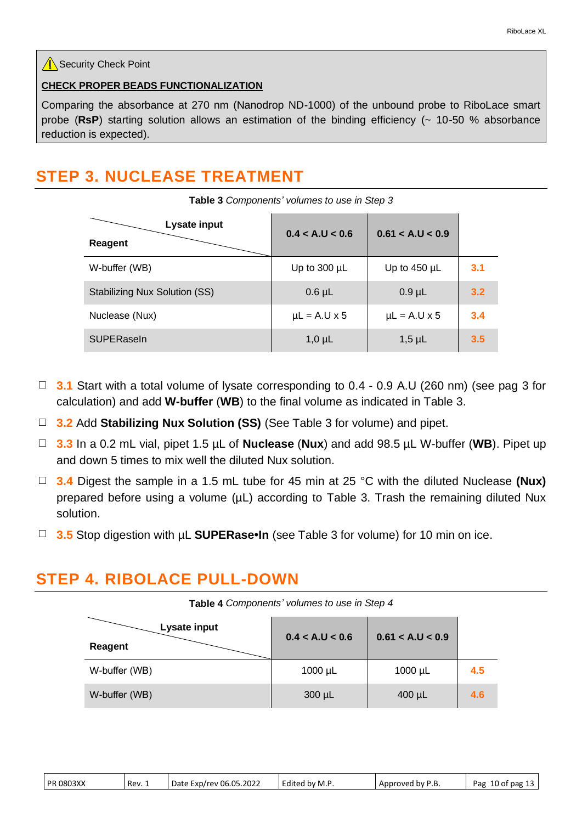#### $\sqrt{\mathbb{R}}$  Security Check Point

#### **CHECK PROPER BEADS FUNCTIONALIZATION**

Comparing the absorbance at 270 nm (Nanodrop ND-1000) of the unbound probe to RiboLace smart probe (**RsP**) starting solution allows an estimation of the binding efficiency (~ 10-50 % absorbance reduction is expected).

**Table 3** *Components' volumes to use in Step 3*

## **STEP 3. NUCLEASE TREATMENT**

| Lysate input<br><b>Reagent</b>       | 0.4 < A.U < 0.6   | 0.61 < A.U < 0.9  |     |
|--------------------------------------|-------------------|-------------------|-----|
| W-buffer (WB)                        | Up to $300 \mu L$ | Up to $450 \mu L$ | 3.1 |
| <b>Stabilizing Nux Solution (SS)</b> | $0.6 \mu L$       | $0.9$ µL          | 3.2 |
| Nuclease (Nux)                       | $\mu$ L = A.U x 5 | $\mu$ L = A.U x 5 | 3.4 |
| <b>SUPERaseln</b>                    | $1,0 \mu L$       | $1,5$ µL          | 3.5 |

- □ 3.1 Start with a total volume of lysate corresponding to 0.4 0.9 A.U (260 nm) (see pag 3 for calculation) and add **W-buffer** (**WB**) to the final volume as indicated in Table 3.
- □ **3.2** Add **Stabilizing Nux Solution (SS)** (See Table 3 for volume) and pipet.
- □ **3.3** In a 0.2 mL vial, pipet 1.5 µL of **Nuclease** (**Nux**) and add 98.5 µL W-buffer (**WB**). Pipet up and down 5 times to mix well the diluted Nux solution.
- □ **3.4** Digest the sample in a 1.5 mL tube for 45 min at 25 °C with the diluted Nuclease **(Nux)** prepared before using a volume ( $\mu$ L) according to Table 3. Trash the remaining diluted Nux solution.
- □ **3.5** Stop digestion with µL **SUPERase•In** (see Table 3 for volume) for 10 min on ice.

## **STEP 4. RIBOLACE PULL-DOWN**

| Table 4 Components' volumes to use in Step 4 |                 |                  |     |
|----------------------------------------------|-----------------|------------------|-----|
| Lysate input<br>Reagent                      | 0.4 < A.U < 0.6 | 0.61 < A.U < 0.9 |     |
| W-buffer (WB)                                | $1000 \mu L$    | $1000 \mu L$     | 4.5 |
| W-buffer (WB)                                | $300 \mu L$     | $400 \mu L$      | 4.6 |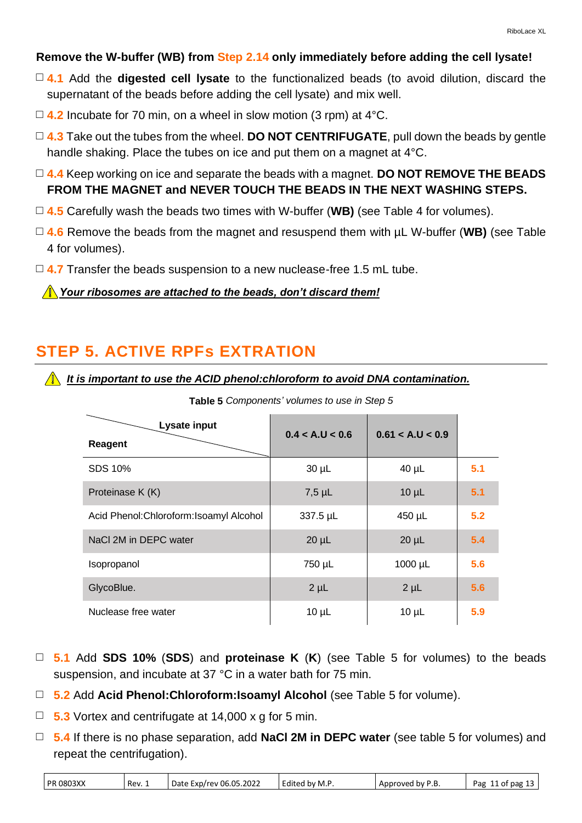### **Remove the W-buffer (WB) from Step 2.14 only immediately before adding the cell lysate!**

- □ **4.1** Add the **digested cell lysate** to the functionalized beads (to avoid dilution, discard the supernatant of the beads before adding the cell lysate) and mix well.
- $\Box$  **4.2** Incubate for 70 min, on a wheel in slow motion (3 rpm) at 4 °C.
- □ 4.3 Take out the tubes from the wheel. **DO NOT CENTRIFUGATE**, pull down the beads by gentle handle shaking. Place the tubes on ice and put them on a magnet at 4°C.
- □ **4.4** Keep working on ice and separate the beads with a magnet. **DO NOT REMOVE THE BEADS FROM THE MAGNET and NEVER TOUCH THE BEADS IN THE NEXT WASHING STEPS.**
- □ **4.5** Carefully wash the beads two times with W-buffer (**WB)** (see Table 4 for volumes).
- □ **4.6** Remove the beads from the magnet and resuspend them with µL W-buffer (**WB)** (see Table 4 for volumes).
- □ 4.7 Transfer the beads suspension to a new nuclease-free 1.5 mL tube.

*Your ribosomes are attached to the beads, don't discard them!*

## **STEP 5. ACTIVE RPFs EXTRATION**

 *It is important to use the ACID phenol:chloroform to avoid DNA contamination.*

| Lysate input                             | 0.4 < A.U < 0.6 | 0.61 < A.U < 0.9 |     |
|------------------------------------------|-----------------|------------------|-----|
| Reagent                                  |                 |                  |     |
| SDS 10%                                  | $30 \mu L$      | $40 \mu L$       | 5.1 |
| Proteinase K (K)                         | $7,5$ µL        | $10 \mu L$       | 5.1 |
| Acid Phenol: Chloroform: Isoamyl Alcohol | 337.5 µL        | 450 µL           | 5.2 |
| NaCl 2M in DEPC water                    | $20 \mu L$      | $20 \mu L$       | 5.4 |
| Isopropanol                              | 750 µL          | $1000 \mu L$     | 5.6 |
| GlycoBlue.                               | $2 \mu L$       | $2 \mu L$        | 5.6 |
| Nuclease free water                      | $10 \mu L$      | $10 \mu L$       | 5.9 |

**Table 5** *Components' volumes to use in Step 5*

- □ **5.1** Add **SDS 10%** (**SDS**) and **proteinase K** (**K**) (see Table 5 for volumes) to the beads suspension, and incubate at 37 °C in a water bath for 75 min.
- □ **5.2** Add **Acid Phenol:Chloroform:Isoamyl Alcohol** (see Table 5 for volume).
- □ **5.3** Vortex and centrifugate at 14,000 x g for 5 min.
- □ **5.4** If there is no phase separation, add **NaCl 2M in DEPC water** (see table 5 for volumes) and repeat the centrifugation).

| <b>PR 0803XX</b> |  |
|------------------|--|
|------------------|--|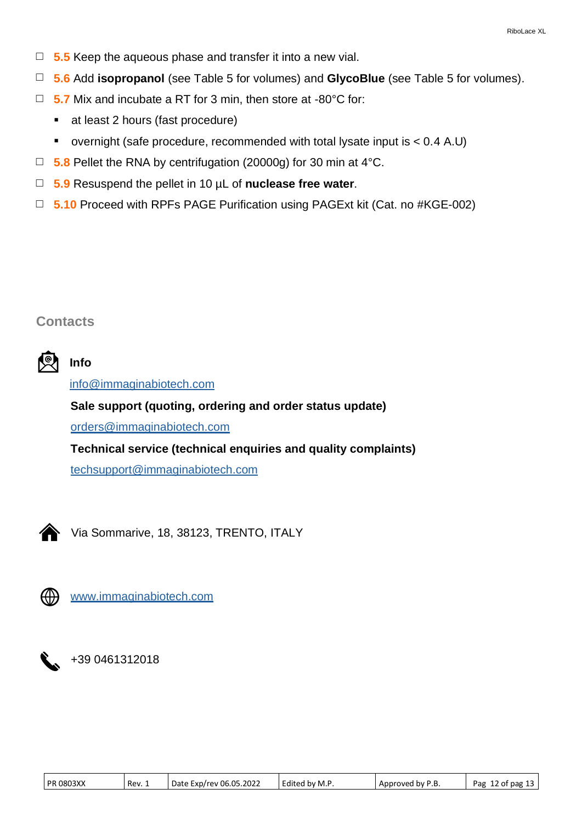- □ **5.5** Keep the aqueous phase and transfer it into a new vial.
- □ **5.6** Add **isopropanol** (see Table 5 for volumes) and **GlycoBlue** (see Table 5 for volumes).
- □ **5.7** Mix and incubate a RT for 3 min, then store at -80°C for:
	- at least 2 hours (fast procedure)
	- overnight (safe procedure, recommended with total lysate input is < 0.4 A.U)
- □ **5.8** Pellet the RNA by centrifugation (20000g) for 30 min at 4°C.
- □ **5.9** Resuspend the pellet in 10 µL of **nuclease free water**.
- □ **5.10** Proceed with RPFs PAGE Purification using PAGExt kit (Cat. no #KGE-002)

## **Contacts**



## **Info**

info@immaginabiotech.com

## **Sale support (quoting, ordering and order status update)**

orders@immaginabiotech.com

## **Technical service (technical enquiries and quality complaints)**

techsupport@immaginabiotech.com



Via Sommarive, 18, 38123, TRENTO, ITALY



[www.immaginabiotech.com](http://www.immaginabiotech.com/)

+39 0461312018